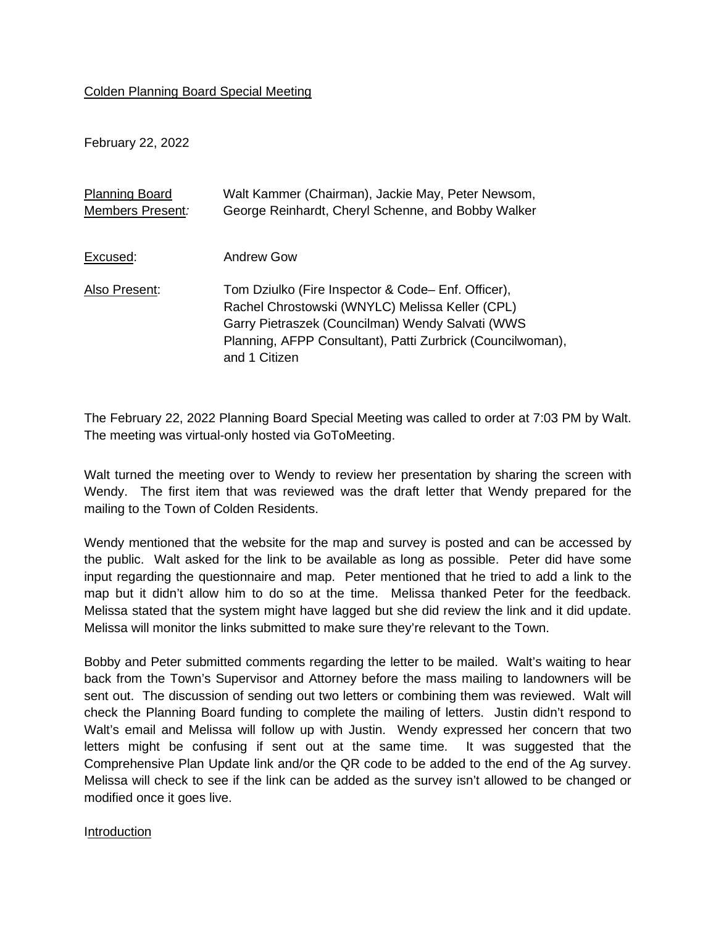## Colden Planning Board Special Meeting

February 22, 2022

| <b>Planning Board</b><br>Members Present: | Walt Kammer (Chairman), Jackie May, Peter Newsom,<br>George Reinhardt, Cheryl Schenne, and Bobby Walker                                                                                                                                 |
|-------------------------------------------|-----------------------------------------------------------------------------------------------------------------------------------------------------------------------------------------------------------------------------------------|
|                                           |                                                                                                                                                                                                                                         |
| Excused:                                  | Andrew Gow                                                                                                                                                                                                                              |
| Also Present:                             | Tom Dziulko (Fire Inspector & Code-Enf. Officer),<br>Rachel Chrostowski (WNYLC) Melissa Keller (CPL)<br>Garry Pietraszek (Councilman) Wendy Salvati (WWS<br>Planning, AFPP Consultant), Patti Zurbrick (Councilwoman),<br>and 1 Citizen |

The February 22, 2022 Planning Board Special Meeting was called to order at 7:03 PM by Walt. The meeting was virtual-only hosted via GoToMeeting.

Walt turned the meeting over to Wendy to review her presentation by sharing the screen with Wendy. The first item that was reviewed was the draft letter that Wendy prepared for the mailing to the Town of Colden Residents.

Wendy mentioned that the website for the map and survey is posted and can be accessed by the public. Walt asked for the link to be available as long as possible. Peter did have some input regarding the questionnaire and map. Peter mentioned that he tried to add a link to the map but it didn't allow him to do so at the time. Melissa thanked Peter for the feedback. Melissa stated that the system might have lagged but she did review the link and it did update. Melissa will monitor the links submitted to make sure they're relevant to the Town.

Bobby and Peter submitted comments regarding the letter to be mailed. Walt's waiting to hear back from the Town's Supervisor and Attorney before the mass mailing to landowners will be sent out. The discussion of sending out two letters or combining them was reviewed. Walt will check the Planning Board funding to complete the mailing of letters. Justin didn't respond to Walt's email and Melissa will follow up with Justin. Wendy expressed her concern that two letters might be confusing if sent out at the same time. It was suggested that the Comprehensive Plan Update link and/or the QR code to be added to the end of the Ag survey. Melissa will check to see if the link can be added as the survey isn't allowed to be changed or modified once it goes live.

## Introduction